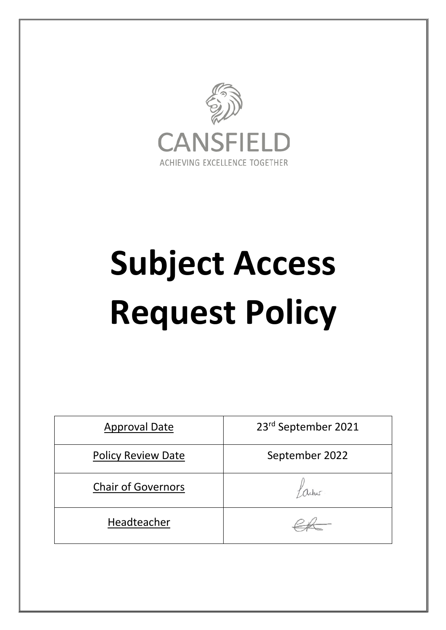

# **Subject Access Request Policy**

| <b>Approval Date</b>      | 23rd September 2021 |
|---------------------------|---------------------|
| <b>Policy Review Date</b> | September 2022      |
| <b>Chair of Governors</b> |                     |
| Headteacher               |                     |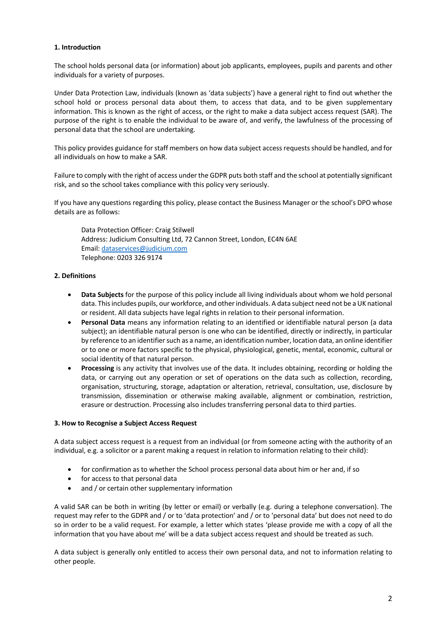# **1. Introduction**

The school holds personal data (or information) about job applicants, employees, pupils and parents and other individuals for a variety of purposes.

Under Data Protection Law, individuals (known as 'data subjects') have a general right to find out whether the school hold or process personal data about them, to access that data, and to be given supplementary information. This is known as the right of access, or the right to make a data subject access request (SAR). The purpose of the right is to enable the individual to be aware of, and verify, the lawfulness of the processing of personal data that the school are undertaking.

This policy provides guidance for staff members on how data subject access requests should be handled, and for all individuals on how to make a SAR.

Failure to comply with the right of access under the GDPR puts both staff and the school at potentially significant risk, and so the school takes compliance with this policy very seriously.

If you have any questions regarding this policy, please contact the Business Manager or the school's DPO whose details are as follows:

Data Protection Officer: Craig Stilwell Address: Judicium Consulting Ltd, 72 Cannon Street, London, EC4N 6AE Email: dataservices@judicium.com Telephone: 0203 326 9174

# **2. Definitions**

- **Data Subjects** for the purpose of this policy include all living individuals about whom we hold personal data. This includes pupils, our workforce, and other individuals. A data subject need not be a UK national or resident. All data subjects have legal rights in relation to their personal information.
- **Personal Data** means any information relating to an identified or identifiable natural person (a data subject); an identifiable natural person is one who can be identified, directly or indirectly, in particular by reference to an identifier such as a name, an identification number, location data, an online identifier or to one or more factors specific to the physical, physiological, genetic, mental, economic, cultural or social identity of that natural person.
- **Processing** is any activity that involves use of the data. It includes obtaining, recording or holding the data, or carrying out any operation or set of operations on the data such as collection, recording, organisation, structuring, storage, adaptation or alteration, retrieval, consultation, use, disclosure by transmission, dissemination or otherwise making available, alignment or combination, restriction, erasure or destruction. Processing also includes transferring personal data to third parties.

#### **3. How to Recognise a Subject Access Request**

A data subject access request is a request from an individual (or from someone acting with the authority of an individual, e.g. a solicitor or a parent making a request in relation to information relating to their child):

- for confirmation as to whether the School process personal data about him or her and, if so
- for access to that personal data
- and / or certain other supplementary information

A valid SAR can be both in writing (by letter or email) or verbally (e.g. during a telephone conversation). The request may refer to the GDPR and / or to 'data protection' and / or to 'personal data' but does not need to do so in order to be a valid request. For example, a letter which states 'please provide me with a copy of all the information that you have about me' will be a data subject access request and should be treated as such.

A data subject is generally only entitled to access their own personal data, and not to information relating to other people.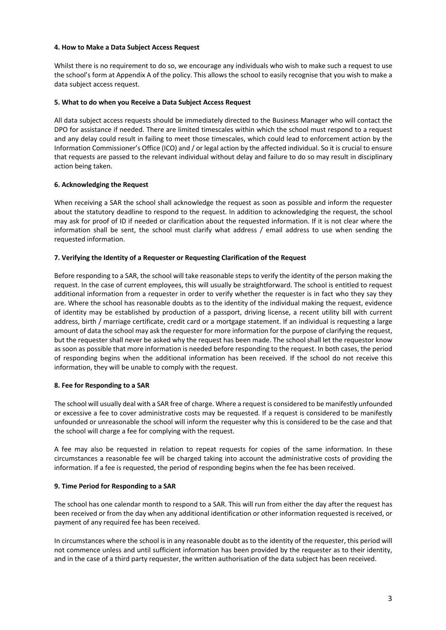#### **4. How to Make a Data Subject Access Request**

Whilst there is no requirement to do so, we encourage any individuals who wish to make such a request to use the school's form at Appendix A of the policy. This allows the school to easily recognise that you wish to make a data subject access request.

# **5. What to do when you Receive a Data Subject Access Request**

All data subject access requests should be immediately directed to the Business Manager who will contact the DPO for assistance if needed. There are limited timescales within which the school must respond to a request and any delay could result in failing to meet those timescales, which could lead to enforcement action by the Information Commissioner's Office (ICO) and / or legal action by the affected individual. So it is crucial to ensure that requests are passed to the relevant individual without delay and failure to do so may result in disciplinary action being taken.

# **6. Acknowledging the Request**

When receiving a SAR the school shall acknowledge the request as soon as possible and inform the requester about the statutory deadline to respond to the request. In addition to acknowledging the request, the school may ask for proof of ID if needed or clarification about the requested information. If it is not clear where the information shall be sent, the school must clarify what address / email address to use when sending the requested information.

# **7. Verifying the Identity of a Requester or Requesting Clarification of the Request**

Before responding to a SAR, the school will take reasonable steps to verify the identity of the person making the request. In the case of current employees, this will usually be straightforward. The school is entitled to request additional information from a requester in order to verify whether the requester is in fact who they say they are. Where the school has reasonable doubts as to the identity of the individual making the request, evidence of identity may be established by production of a passport, driving license, a recent utility bill with current address, birth / marriage certificate, credit card or a mortgage statement. If an individual is requesting a large amount of data the school may ask the requester for more information for the purpose of clarifying the request, but the requester shall never be asked why the request has been made. The school shall let the requestor know as soon as possible that more information is needed before responding to the request. In both cases, the period of responding begins when the additional information has been received. If the school do not receive this information, they will be unable to comply with the request.

# **8. Fee for Responding to a SAR**

The school will usually deal with a SAR free of charge. Where a request is considered to be manifestly unfounded or excessive a fee to cover administrative costs may be requested. If a request is considered to be manifestly unfounded or unreasonable the school will inform the requester why this is considered to be the case and that the school will charge a fee for complying with the request.

A fee may also be requested in relation to repeat requests for copies of the same information. In these circumstances a reasonable fee will be charged taking into account the administrative costs of providing the information. If a fee is requested, the period of responding begins when the fee has been received.

#### **9. Time Period for Responding to a SAR**

The school has one calendar month to respond to a SAR. This will run from either the day after the request has been received or from the day when any additional identification or other information requested is received, or payment of any required fee has been received.

In circumstances where the school is in any reasonable doubt as to the identity of the requester, this period will not commence unless and until sufficient information has been provided by the requester as to their identity, and in the case of a third party requester, the written authorisation of the data subject has been received.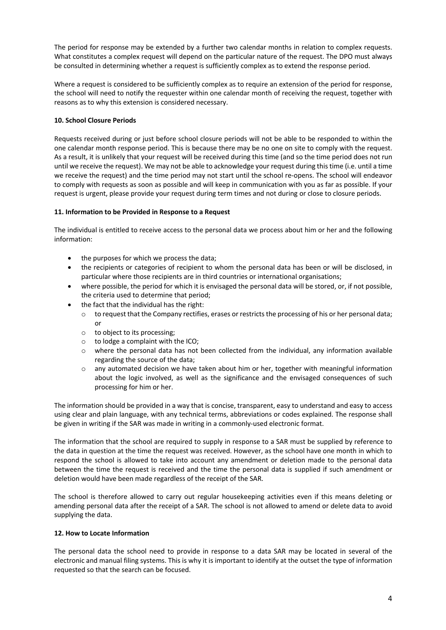The period for response may be extended by a further two calendar months in relation to complex requests. What constitutes a complex request will depend on the particular nature of the request. The DPO must always be consulted in determining whether a request is sufficiently complex as to extend the response period.

Where a request is considered to be sufficiently complex as to require an extension of the period for response, the school will need to notify the requester within one calendar month of receiving the request, together with reasons as to why this extension is considered necessary.

# **10. School Closure Periods**

Requests received during or just before school closure periods will not be able to be responded to within the one calendar month response period. This is because there may be no one on site to comply with the request. As a result, it is unlikely that your request will be received during this time (and so the time period does not run until we receive the request). We may not be able to acknowledge your request during this time (i.e. until a time we receive the request) and the time period may not start until the school re-opens. The school will endeavor to comply with requests as soon as possible and will keep in communication with you as far as possible. If your request is urgent, please provide your request during term times and not during or close to closure periods.

# **11. Information to be Provided in Response to a Request**

The individual is entitled to receive access to the personal data we process about him or her and the following information:

- the purposes for which we process the data;
- the recipients or categories of recipient to whom the personal data has been or will be disclosed, in particular where those recipients are in third countries or international organisations;
- where possible, the period for which it is envisaged the personal data will be stored, or, if not possible, the criteria used to determine that period;
- the fact that the individual has the right:
	- o to request that the Company rectifies, erases or restricts the processing of his or her personal data; or
	- o to object to its processing;
	- o to lodge a complaint with the ICO;
	- $\circ$  where the personal data has not been collected from the individual, any information available regarding the source of the data;
	- $\circ$  any automated decision we have taken about him or her, together with meaningful information about the logic involved, as well as the significance and the envisaged consequences of such processing for him or her.

The information should be provided in a way that is concise, transparent, easy to understand and easy to access using clear and plain language, with any technical terms, abbreviations or codes explained. The response shall be given in writing if the SAR was made in writing in a commonly-used electronic format.

The information that the school are required to supply in response to a SAR must be supplied by reference to the data in question at the time the request was received. However, as the school have one month in which to respond the school is allowed to take into account any amendment or deletion made to the personal data between the time the request is received and the time the personal data is supplied if such amendment or deletion would have been made regardless of the receipt of the SAR.

The school is therefore allowed to carry out regular housekeeping activities even if this means deleting or amending personal data after the receipt of a SAR. The school is not allowed to amend or delete data to avoid supplying the data.

# **12. How to Locate Information**

The personal data the school need to provide in response to a data SAR may be located in several of the electronic and manual filing systems. This is why it is important to identify at the outset the type of information requested so that the search can be focused.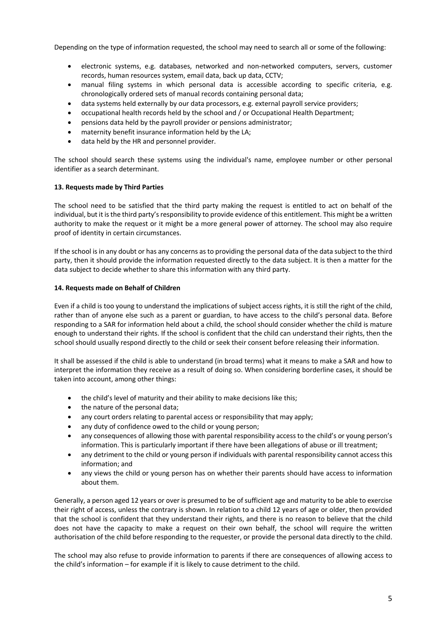Depending on the type of information requested, the school may need to search all or some of the following:

- electronic systems, e.g. databases, networked and non-networked computers, servers, customer records, human resources system, email data, back up data, CCTV;
- manual filing systems in which personal data is accessible according to specific criteria, e.g. chronologically ordered sets of manual records containing personal data;
- data systems held externally by our data processors, e.g. external payroll service providers;
- occupational health records held by the school and / or Occupational Health Department;
- pensions data held by the payroll provider or pensions administrator;
- maternity benefit insurance information held by the LA;
- data held by the HR and personnel provider.

The school should search these systems using the individual's name, employee number or other personal identifier as a search determinant.

#### **13. Requests made by Third Parties**

The school need to be satisfied that the third party making the request is entitled to act on behalf of the individual, but it is the third party's responsibility to provide evidence of this entitlement. This might be a written authority to make the request or it might be a more general power of attorney. The school may also require proof of identity in certain circumstances.

If the school is in any doubt or has any concerns as to providing the personal data of the data subject to the third party, then it should provide the information requested directly to the data subject. It is then a matter for the data subject to decide whether to share this information with any third party.

#### **14. Requests made on Behalf of Children**

Even if a child is too young to understand the implications of subject access rights, it is still the right of the child, rather than of anyone else such as a parent or guardian, to have access to the child's personal data. Before responding to a SAR for information held about a child, the school should consider whether the child is mature enough to understand their rights. If the school is confident that the child can understand their rights, then the school should usually respond directly to the child or seek their consent before releasing their information.

It shall be assessed if the child is able to understand (in broad terms) what it means to make a SAR and how to interpret the information they receive as a result of doing so. When considering borderline cases, it should be taken into account, among other things:

- the child's level of maturity and their ability to make decisions like this;
- the nature of the personal data;
- any court orders relating to parental access or responsibility that may apply;
- any duty of confidence owed to the child or young person:
- any consequences of allowing those with parental responsibility access to the child's or young person's information. This is particularly important if there have been allegations of abuse or ill treatment;
- any detriment to the child or young person if individuals with parental responsibility cannot access this information; and
- any views the child or young person has on whether their parents should have access to information about them.

Generally, a person aged 12 years or over is presumed to be of sufficient age and maturity to be able to exercise their right of access, unless the contrary is shown. In relation to a child 12 years of age or older, then provided that the school is confident that they understand their rights, and there is no reason to believe that the child does not have the capacity to make a request on their own behalf, the school will require the written authorisation of the child before responding to the requester, or provide the personal data directly to the child.

The school may also refuse to provide information to parents if there are consequences of allowing access to the child's information – for example if it is likely to cause detriment to the child.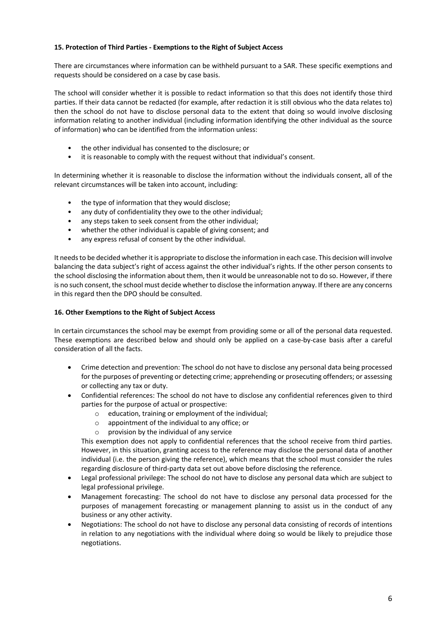# **15. Protection of Third Parties - Exemptions to the Right of Subject Access**

There are circumstances where information can be withheld pursuant to a SAR. These specific exemptions and requests should be considered on a case by case basis.

The school will consider whether it is possible to redact information so that this does not identify those third parties. If their data cannot be redacted (for example, after redaction it is still obvious who the data relates to) then the school do not have to disclose personal data to the extent that doing so would involve disclosing information relating to another individual (including information identifying the other individual as the source of information) who can be identified from the information unless:

- the other individual has consented to the disclosure; or
- it is reasonable to comply with the request without that individual's consent.

In determining whether it is reasonable to disclose the information without the individuals consent, all of the relevant circumstances will be taken into account, including:

- the type of information that they would disclose;
- any duty of confidentiality they owe to the other individual;
- any steps taken to seek consent from the other individual;
- whether the other individual is capable of giving consent; and
- any express refusal of consent by the other individual.

It needs to be decided whether it is appropriate to disclose the information in each case. This decision will involve balancing the data subject's right of access against the other individual's rights. If the other person consents to the school disclosing the information about them, then it would be unreasonable not to do so. However, if there is no such consent, the school must decide whether to disclose the information anyway. If there are any concerns in this regard then the DPO should be consulted.

#### **16. Other Exemptions to the Right of Subject Access**

In certain circumstances the school may be exempt from providing some or all of the personal data requested. These exemptions are described below and should only be applied on a case-by-case basis after a careful consideration of all the facts.

- Crime detection and prevention: The school do not have to disclose any personal data being processed for the purposes of preventing or detecting crime; apprehending or prosecuting offenders; or assessing or collecting any tax or duty.
- Confidential references: The school do not have to disclose any confidential references given to third parties for the purpose of actual or prospective:
	- o education, training or employment of the individual;
	- o appointment of the individual to any office; or
	- $\circ$  provision by the individual of any service

This exemption does not apply to confidential references that the school receive from third parties. However, in this situation, granting access to the reference may disclose the personal data of another individual (i.e. the person giving the reference), which means that the school must consider the rules regarding disclosure of third-party data set out above before disclosing the reference.

- Legal professional privilege: The school do not have to disclose any personal data which are subject to legal professional privilege.
- Management forecasting: The school do not have to disclose any personal data processed for the purposes of management forecasting or management planning to assist us in the conduct of any business or any other activity.
- Negotiations: The school do not have to disclose any personal data consisting of records of intentions in relation to any negotiations with the individual where doing so would be likely to prejudice those negotiations.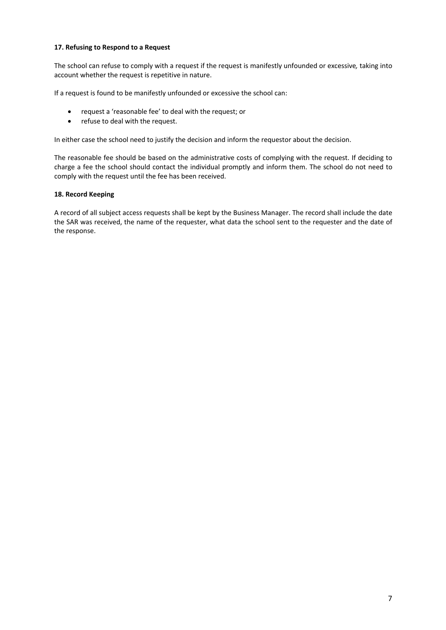# **17. Refusing to Respond to a Request**

The school can refuse to comply with a request if the request is manifestly unfounded or excessive*,* taking into account whether the request is repetitive in nature.

If a request is found to be manifestly unfounded or excessive the school can:

- request a 'reasonable fee' to deal with the request; or
- refuse to deal with the request.

In either case the school need to justify the decision and inform the requestor about the decision.

The reasonable fee should be based on the administrative costs of complying with the request. If deciding to charge a fee the school should contact the individual promptly and inform them. The school do not need to comply with the request until the fee has been received.

# **18. Record Keeping**

A record of all subject access requests shall be kept by the Business Manager. The record shall include the date the SAR was received, the name of the requester, what data the school sent to the requester and the date of the response.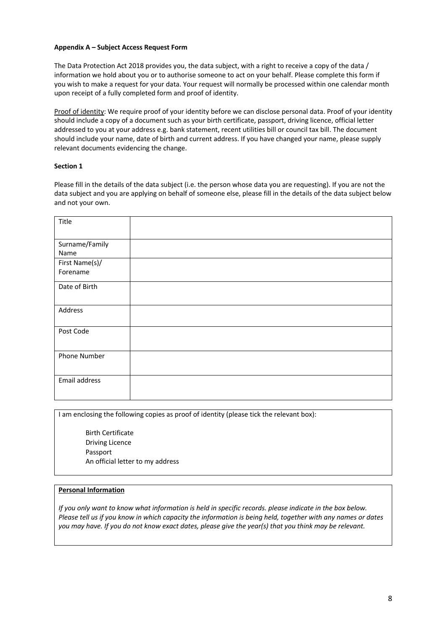### **Appendix A – Subject Access Request Form**

The Data Protection Act 2018 provides you, the data subject, with a right to receive a copy of the data / information we hold about you or to authorise someone to act on your behalf. Please complete this form if you wish to make a request for your data. Your request will normally be processed within one calendar month upon receipt of a fully completed form and proof of identity.

Proof of identity: We require proof of your identity before we can disclose personal data. Proof of your identity should include a copy of a document such as your birth certificate, passport, driving licence, official letter addressed to you at your address e.g. bank statement, recent utilities bill or council tax bill. The document should include your name, date of birth and current address. If you have changed your name, please supply relevant documents evidencing the change.

# **Section 1**

Please fill in the details of the data subject (i.e. the person whose data you are requesting). If you are not the data subject and you are applying on behalf of someone else, please fill in the details of the data subject below and not your own.

| Title                      |  |
|----------------------------|--|
| Surname/Family<br>Name     |  |
| First Name(s)/<br>Forename |  |
| Date of Birth              |  |
| Address                    |  |
| Post Code                  |  |
| Phone Number               |  |
| Email address              |  |

I am enclosing the following copies as proof of identity (please tick the relevant box):

 Birth Certificate Driving Licence Passport An official letter to my address

### **Personal Information**

*If you only want to know what information is held in specific records. please indicate in the box below. Please tell us if you know in which capacity the information is being held, together with any names or dates you may have. If you do not know exact dates, please give the year(s) that you think may be relevant.*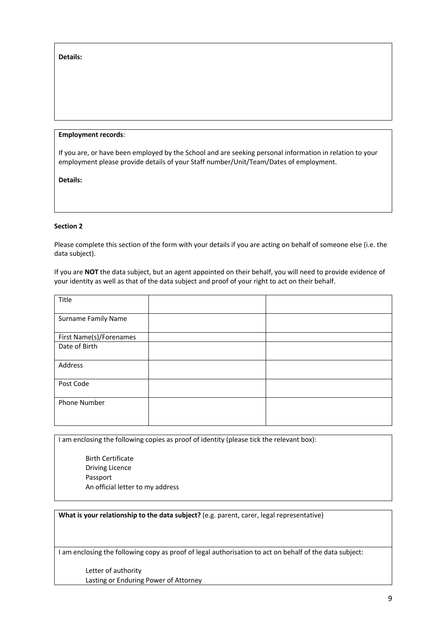**Details:** 

### **Employment records**:

If you are, or have been employed by the School and are seeking personal information in relation to your employment please provide details of your Staff number/Unit/Team/Dates of employment.

**Details:**

### **Section 2**

Please complete this section of the form with your details if you are acting on behalf of someone else (i.e. the data subject).

If you are **NOT** the data subject, but an agent appointed on their behalf, you will need to provide evidence of your identity as well as that of the data subject and proof of your right to act on their behalf.

| Title                   |  |
|-------------------------|--|
| Surname Family Name     |  |
| First Name(s)/Forenames |  |
| Date of Birth           |  |
| Address                 |  |
| Post Code               |  |
| Phone Number            |  |

I am enclosing the following copies as proof of identity (please tick the relevant box):

 Birth Certificate Driving Licence Passport An official letter to my address

**What is your relationship to the data subject?** (e.g. parent, carer, legal representative)

I am enclosing the following copy as proof of legal authorisation to act on behalf of the data subject:

 Letter of authority Lasting or Enduring Power of Attorney